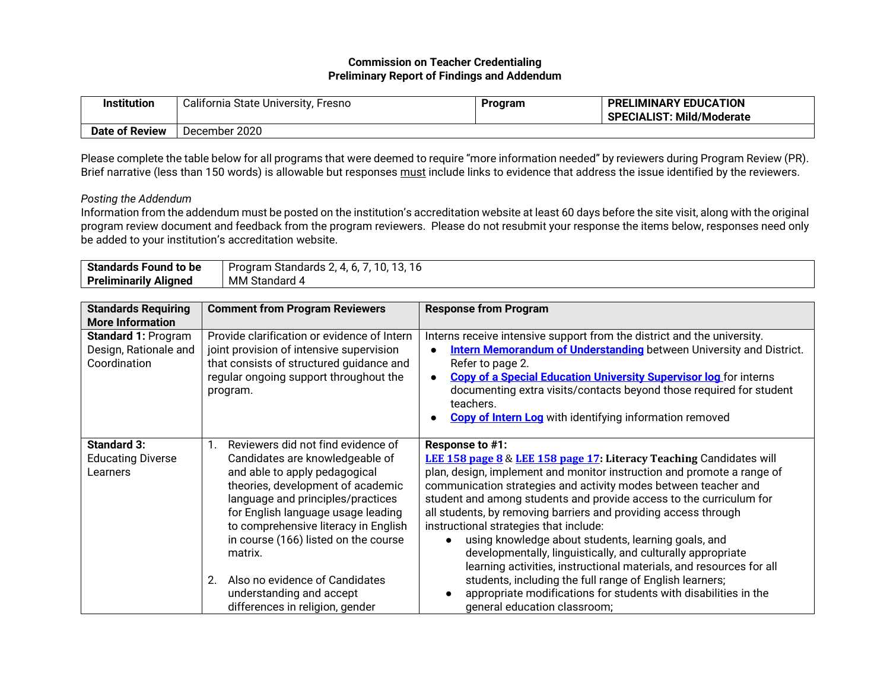## **Commission on Teacher Credentialing Preliminary Report of Findings and Addendum**

| <b>Institution</b> | California State University, F<br>Fresno | Program | <b>PRELIMINARY EDUCATION</b><br><b>SPECIALIST: Mild/Moderate</b> |
|--------------------|------------------------------------------|---------|------------------------------------------------------------------|
| Date of Review     | December 2020                            |         |                                                                  |

Please complete the table below for all programs that were deemed to require "more information needed" by reviewers during Program Review (PR). Brief narrative (less than 150 words) is allowable but responses must include links to evidence that address the issue identified by the reviewers.

## *Posting the Addendum*

Information from the addendum must be posted on the institution's accreditation website at least 60 days before the site visit, along with the original program review document and feedback from the program reviewers. Please do not resubmit your response the items below, responses need only be added to your institution's accreditation website.

| Standards<br>l to be<br>Found        | $\sim$<br>Standards<br>Program<br>10<br>4<br>IU.<br>.ن ا<br>v. |
|--------------------------------------|----------------------------------------------------------------|
| .<br>Preliminarily<br><b>Alianed</b> | <b>MM Standard</b><br>14                                       |

| <b>Standards Requiring</b><br><b>More Information</b>               | <b>Comment from Program Reviewers</b>                                                                                                                                                                                                                                                                                                                                                                                    | <b>Response from Program</b>                                                                                                                                                                                                                                                                                                                                                                                                                                                                                                                                                                                                                                                                                                                                                       |
|---------------------------------------------------------------------|--------------------------------------------------------------------------------------------------------------------------------------------------------------------------------------------------------------------------------------------------------------------------------------------------------------------------------------------------------------------------------------------------------------------------|------------------------------------------------------------------------------------------------------------------------------------------------------------------------------------------------------------------------------------------------------------------------------------------------------------------------------------------------------------------------------------------------------------------------------------------------------------------------------------------------------------------------------------------------------------------------------------------------------------------------------------------------------------------------------------------------------------------------------------------------------------------------------------|
| <b>Standard 1: Program</b><br>Design, Rationale and<br>Coordination | Provide clarification or evidence of Intern<br>joint provision of intensive supervision<br>that consists of structured guidance and<br>regular ongoing support throughout the<br>program.                                                                                                                                                                                                                                | Interns receive intensive support from the district and the university.<br><b>Intern Memorandum of Understanding</b> between University and District.<br>Refer to page 2.<br><b>Copy of a Special Education University Supervisor log</b> for interns<br>documenting extra visits/contacts beyond those required for student<br>teachers.<br><b>Copy of Intern Log</b> with identifying information removed                                                                                                                                                                                                                                                                                                                                                                        |
| <b>Standard 3:</b><br><b>Educating Diverse</b><br>Learners          | Reviewers did not find evidence of<br>Candidates are knowledgeable of<br>and able to apply pedagogical<br>theories, development of academic<br>language and principles/practices<br>for English language usage leading<br>to comprehensive literacy in English<br>in course (166) listed on the course<br>matrix.<br>Also no evidence of Candidates<br>2.<br>understanding and accept<br>differences in religion, gender | Response to #1:<br>LEE 158 page 8 & LEE 158 page 17: Literacy Teaching Candidates will<br>plan, design, implement and monitor instruction and promote a range of<br>communication strategies and activity modes between teacher and<br>student and among students and provide access to the curriculum for<br>all students, by removing barriers and providing access through<br>instructional strategies that include:<br>using knowledge about students, learning goals, and<br>developmentally, linguistically, and culturally appropriate<br>learning activities, instructional materials, and resources for all<br>students, including the full range of English learners;<br>appropriate modifications for students with disabilities in the<br>general education classroom; |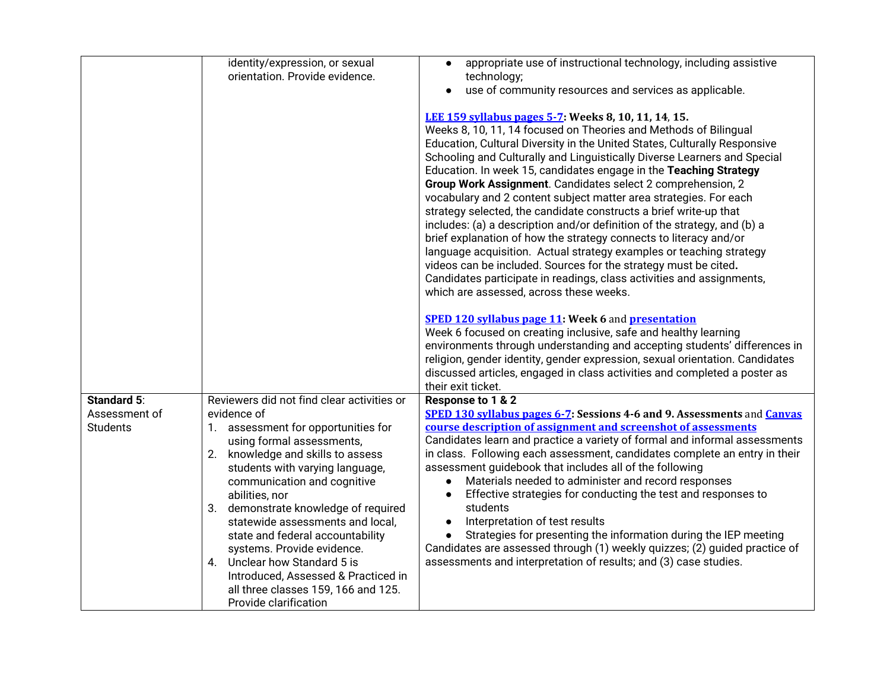|                    | identity/expression, or sexual                                                                                                                                                                                                                                                                                                                                          | appropriate use of instructional technology, including assistive                                                                                                                                                                                                                                                                                                                                                                                                                                                                                                                                                                                                                                                                                                                                                                                                                                                                                                              |
|--------------------|-------------------------------------------------------------------------------------------------------------------------------------------------------------------------------------------------------------------------------------------------------------------------------------------------------------------------------------------------------------------------|-------------------------------------------------------------------------------------------------------------------------------------------------------------------------------------------------------------------------------------------------------------------------------------------------------------------------------------------------------------------------------------------------------------------------------------------------------------------------------------------------------------------------------------------------------------------------------------------------------------------------------------------------------------------------------------------------------------------------------------------------------------------------------------------------------------------------------------------------------------------------------------------------------------------------------------------------------------------------------|
|                    | orientation. Provide evidence.                                                                                                                                                                                                                                                                                                                                          | technology;                                                                                                                                                                                                                                                                                                                                                                                                                                                                                                                                                                                                                                                                                                                                                                                                                                                                                                                                                                   |
|                    |                                                                                                                                                                                                                                                                                                                                                                         | use of community resources and services as applicable.<br>$\bullet$                                                                                                                                                                                                                                                                                                                                                                                                                                                                                                                                                                                                                                                                                                                                                                                                                                                                                                           |
|                    |                                                                                                                                                                                                                                                                                                                                                                         | LEE 159 syllabus pages 5-7 Weeks 8, 10, 11, 14, 15.<br>Weeks 8, 10, 11, 14 focused on Theories and Methods of Bilingual<br>Education, Cultural Diversity in the United States, Culturally Responsive<br>Schooling and Culturally and Linguistically Diverse Learners and Special<br>Education. In week 15, candidates engage in the Teaching Strategy<br>Group Work Assignment. Candidates select 2 comprehension, 2<br>vocabulary and 2 content subject matter area strategies. For each<br>strategy selected, the candidate constructs a brief write-up that<br>includes: (a) a description and/or definition of the strategy, and (b) a<br>brief explanation of how the strategy connects to literacy and/or<br>language acquisition. Actual strategy examples or teaching strategy<br>videos can be included. Sources for the strategy must be cited.<br>Candidates participate in readings, class activities and assignments,<br>which are assessed, across these weeks. |
|                    |                                                                                                                                                                                                                                                                                                                                                                         | <b>SPED 120 syllabus page 11: Week 6 and presentation</b><br>Week 6 focused on creating inclusive, safe and healthy learning<br>environments through understanding and accepting students' differences in<br>religion, gender identity, gender expression, sexual orientation. Candidates<br>discussed articles, engaged in class activities and completed a poster as<br>their exit ticket.                                                                                                                                                                                                                                                                                                                                                                                                                                                                                                                                                                                  |
| <b>Standard 5:</b> | Reviewers did not find clear activities or                                                                                                                                                                                                                                                                                                                              | Response to 1 & 2                                                                                                                                                                                                                                                                                                                                                                                                                                                                                                                                                                                                                                                                                                                                                                                                                                                                                                                                                             |
| Assessment of      | evidence of                                                                                                                                                                                                                                                                                                                                                             | SPED 130 syllabus pages 6-7: Sessions 4-6 and 9. Assessments and Canvas                                                                                                                                                                                                                                                                                                                                                                                                                                                                                                                                                                                                                                                                                                                                                                                                                                                                                                       |
| <b>Students</b>    | 1. assessment for opportunities for<br>using formal assessments,<br>2. knowledge and skills to assess<br>students with varying language,<br>communication and cognitive<br>abilities, nor<br>3. demonstrate knowledge of required<br>statewide assessments and local,<br>state and federal accountability<br>systems. Provide evidence.<br>4. Unclear how Standard 5 is | course description of assignment and screenshot of assessments<br>Candidates learn and practice a variety of formal and informal assessments<br>in class. Following each assessment, candidates complete an entry in their<br>assessment guidebook that includes all of the following<br>Materials needed to administer and record responses<br>$\bullet$<br>Effective strategies for conducting the test and responses to<br>students<br>Interpretation of test results<br>$\bullet$<br>Strategies for presenting the information during the IEP meeting<br>$\bullet$<br>Candidates are assessed through (1) weekly quizzes; (2) guided practice of<br>assessments and interpretation of results; and (3) case studies.                                                                                                                                                                                                                                                      |
|                    | Introduced, Assessed & Practiced in<br>all three classes 159, 166 and 125.<br>Provide clarification                                                                                                                                                                                                                                                                     |                                                                                                                                                                                                                                                                                                                                                                                                                                                                                                                                                                                                                                                                                                                                                                                                                                                                                                                                                                               |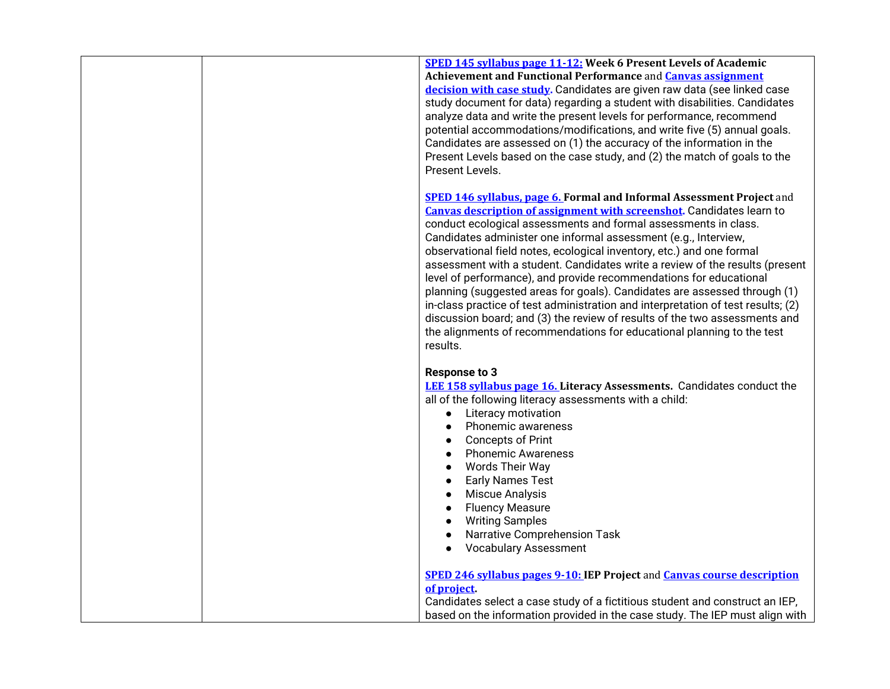|  | <b>SPED 145 syllabus page 11-12: Week 6 Present Levels of Academic</b><br>Achievement and Functional Performance and <b>Canvas assignment</b><br>decision with case study. Candidates are given raw data (see linked case<br>study document for data) regarding a student with disabilities. Candidates<br>analyze data and write the present levels for performance, recommend<br>potential accommodations/modifications, and write five (5) annual goals.<br>Candidates are assessed on (1) the accuracy of the information in the<br>Present Levels based on the case study, and (2) the match of goals to the<br>Present Levels.                                                                                                                                                                                                                                   |
|--|------------------------------------------------------------------------------------------------------------------------------------------------------------------------------------------------------------------------------------------------------------------------------------------------------------------------------------------------------------------------------------------------------------------------------------------------------------------------------------------------------------------------------------------------------------------------------------------------------------------------------------------------------------------------------------------------------------------------------------------------------------------------------------------------------------------------------------------------------------------------|
|  | <b>SPED 146 syllabus, page 6. Formal and Informal Assessment Project and</b><br><b>Canvas description of assignment with screenshot.</b> Candidates learn to<br>conduct ecological assessments and formal assessments in class.<br>Candidates administer one informal assessment (e.g., Interview,<br>observational field notes, ecological inventory, etc.) and one formal<br>assessment with a student. Candidates write a review of the results (present<br>level of performance), and provide recommendations for educational<br>planning (suggested areas for goals). Candidates are assessed through (1)<br>in-class practice of test administration and interpretation of test results; (2)<br>discussion board; and (3) the review of results of the two assessments and<br>the alignments of recommendations for educational planning to the test<br>results. |
|  | <b>Response to 3</b><br><b>LEE 158 syllabus page 16. Literacy Assessments. Candidates conduct the</b><br>all of the following literacy assessments with a child:<br>Literacy motivation<br>$\bullet$<br>Phonemic awareness<br>$\bullet$<br><b>Concepts of Print</b><br>$\bullet$<br><b>Phonemic Awareness</b><br>$\bullet$<br>Words Their Way<br>$\bullet$<br><b>Early Names Test</b><br>$\bullet$<br>Miscue Analysis<br>$\bullet$<br><b>Fluency Measure</b><br>$\bullet$<br><b>Writing Samples</b><br>$\bullet$<br>Narrative Comprehension Task<br>$\bullet$<br><b>Vocabulary Assessment</b><br>$\bullet$                                                                                                                                                                                                                                                             |
|  | <b>SPED 246 syllabus pages 9-10: IEP Project and Canvas course description</b><br>of project.<br>Candidates select a case study of a fictitious student and construct an IEP,<br>based on the information provided in the case study. The IEP must align with                                                                                                                                                                                                                                                                                                                                                                                                                                                                                                                                                                                                          |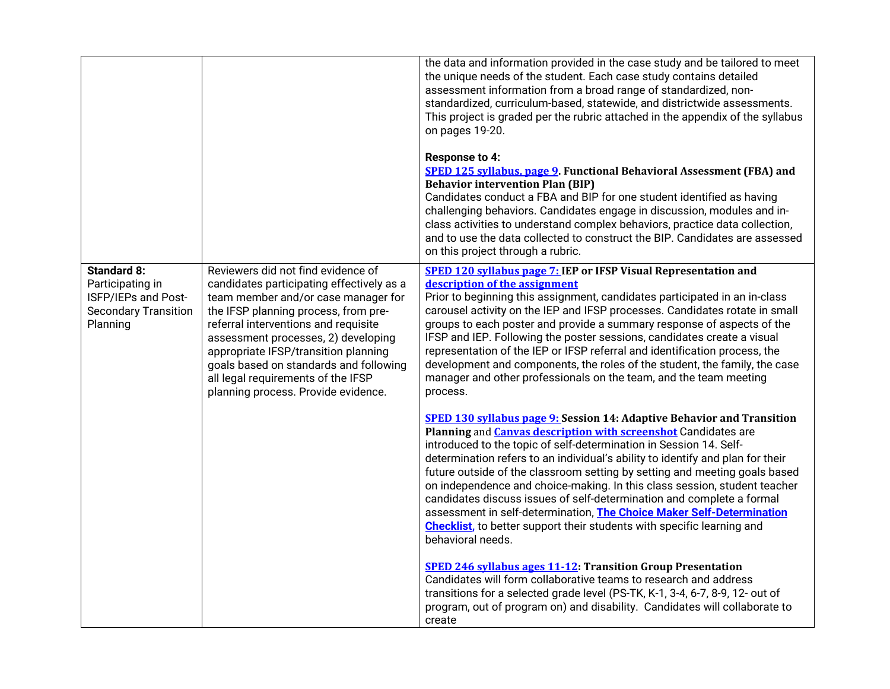|                                                                                                          |                                                                                                                                                                                                                                                                                                                                                                                                              | the data and information provided in the case study and be tailored to meet<br>the unique needs of the student. Each case study contains detailed<br>assessment information from a broad range of standardized, non-<br>standardized, curriculum-based, statewide, and districtwide assessments.<br>This project is graded per the rubric attached in the appendix of the syllabus<br>on pages 19-20.<br><b>Response to 4:</b><br><b>SPED 125 syllabus, page 9. Functional Behavioral Assessment (FBA) and</b><br><b>Behavior intervention Plan (BIP)</b><br>Candidates conduct a FBA and BIP for one student identified as having<br>challenging behaviors. Candidates engage in discussion, modules and in-<br>class activities to understand complex behaviors, practice data collection,<br>and to use the data collected to construct the BIP. Candidates are assessed<br>on this project through a rubric. |
|----------------------------------------------------------------------------------------------------------|--------------------------------------------------------------------------------------------------------------------------------------------------------------------------------------------------------------------------------------------------------------------------------------------------------------------------------------------------------------------------------------------------------------|------------------------------------------------------------------------------------------------------------------------------------------------------------------------------------------------------------------------------------------------------------------------------------------------------------------------------------------------------------------------------------------------------------------------------------------------------------------------------------------------------------------------------------------------------------------------------------------------------------------------------------------------------------------------------------------------------------------------------------------------------------------------------------------------------------------------------------------------------------------------------------------------------------------|
| <b>Standard 8:</b><br>Participating in<br>ISFP/IEPs and Post-<br><b>Secondary Transition</b><br>Planning | Reviewers did not find evidence of<br>candidates participating effectively as a<br>team member and/or case manager for<br>the IFSP planning process, from pre-<br>referral interventions and requisite<br>assessment processes, 2) developing<br>appropriate IFSP/transition planning<br>goals based on standards and following<br>all legal requirements of the IFSP<br>planning process. Provide evidence. | <b>SPED 120 syllabus page 7: IEP or IFSP Visual Representation and</b><br>description of the assignment<br>Prior to beginning this assignment, candidates participated in an in-class<br>carousel activity on the IEP and IFSP processes. Candidates rotate in small<br>groups to each poster and provide a summary response of aspects of the<br>IFSP and IEP. Following the poster sessions, candidates create a visual<br>representation of the IEP or IFSP referral and identification process, the<br>development and components, the roles of the student, the family, the case<br>manager and other professionals on the team, and the team meeting<br>process.                                                                                                                                                                                                                                           |
|                                                                                                          |                                                                                                                                                                                                                                                                                                                                                                                                              | <b>SPED 130 syllabus page 9: Session 14: Adaptive Behavior and Transition</b><br>Planning and <b>Canvas description with screenshot</b> Candidates are<br>introduced to the topic of self-determination in Session 14. Self-<br>determination refers to an individual's ability to identify and plan for their<br>future outside of the classroom setting by setting and meeting goals based<br>on independence and choice-making. In this class session, student teacher<br>candidates discuss issues of self-determination and complete a formal<br>assessment in self-determination, The Choice Maker Self-Determination<br><b>Checklist</b> , to better support their students with specific learning and<br>behavioral needs.                                                                                                                                                                               |
|                                                                                                          |                                                                                                                                                                                                                                                                                                                                                                                                              | <b>SPED 246 syllabus ages 11-12: Transition Group Presentation</b><br>Candidates will form collaborative teams to research and address<br>transitions for a selected grade level (PS-TK, K-1, 3-4, 6-7, 8-9, 12- out of<br>program, out of program on) and disability. Candidates will collaborate to<br>create                                                                                                                                                                                                                                                                                                                                                                                                                                                                                                                                                                                                  |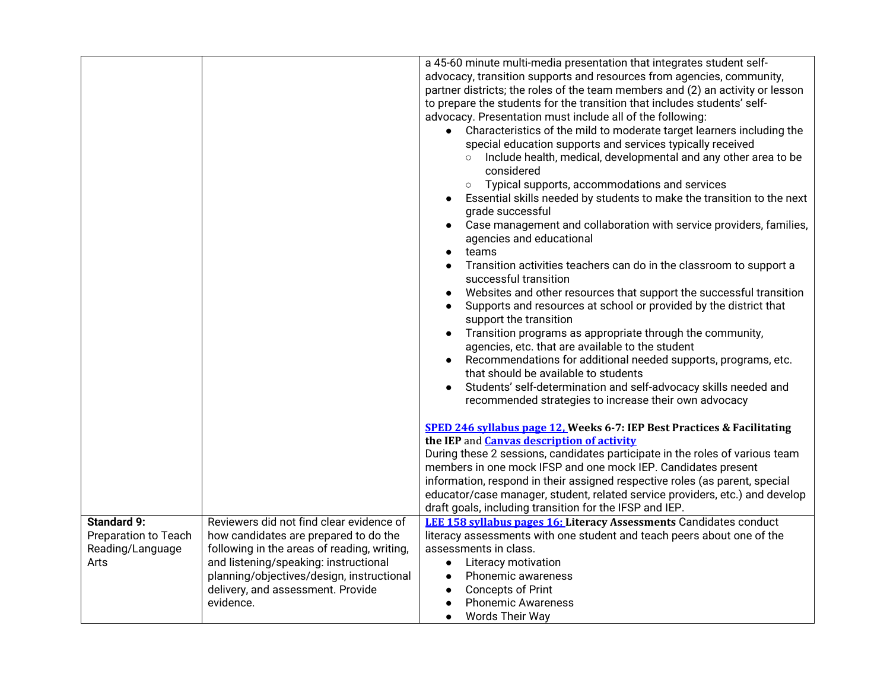|                      |                                             | a 45-60 minute multi-media presentation that integrates student self-<br>advocacy, transition supports and resources from agencies, community,<br>partner districts; the roles of the team members and (2) an activity or lesson<br>to prepare the students for the transition that includes students' self-<br>advocacy. Presentation must include all of the following:<br>• Characteristics of the mild to moderate target learners including the<br>special education supports and services typically received<br>Include health, medical, developmental and any other area to be<br>$\circ$<br>considered<br>Typical supports, accommodations and services<br>$\circ$<br>Essential skills needed by students to make the transition to the next<br>grade successful<br>Case management and collaboration with service providers, families,<br>agencies and educational<br>teams<br>$\bullet$<br>Transition activities teachers can do in the classroom to support a<br>successful transition<br>Websites and other resources that support the successful transition<br>Supports and resources at school or provided by the district that<br>support the transition<br>Transition programs as appropriate through the community,<br>agencies, etc. that are available to the student<br>Recommendations for additional needed supports, programs, etc.<br>that should be available to students<br>Students' self-determination and self-advocacy skills needed and<br>recommended strategies to increase their own advocacy |
|----------------------|---------------------------------------------|---------------------------------------------------------------------------------------------------------------------------------------------------------------------------------------------------------------------------------------------------------------------------------------------------------------------------------------------------------------------------------------------------------------------------------------------------------------------------------------------------------------------------------------------------------------------------------------------------------------------------------------------------------------------------------------------------------------------------------------------------------------------------------------------------------------------------------------------------------------------------------------------------------------------------------------------------------------------------------------------------------------------------------------------------------------------------------------------------------------------------------------------------------------------------------------------------------------------------------------------------------------------------------------------------------------------------------------------------------------------------------------------------------------------------------------------------------------------------------------------------------------------------------|
|                      |                                             | SPED 246 syllabus page 12, Weeks 6-7: IEP Best Practices & Facilitating<br>the IEP and <b>Canvas description of activity</b><br>During these 2 sessions, candidates participate in the roles of various team<br>members in one mock IFSP and one mock IEP. Candidates present<br>information, respond in their assigned respective roles (as parent, special<br>educator/case manager, student, related service providers, etc.) and develop                                                                                                                                                                                                                                                                                                                                                                                                                                                                                                                                                                                                                                                                                                                                                                                                                                                                                                                                                                                                                                                                                    |
|                      |                                             | draft goals, including transition for the IFSP and IEP.                                                                                                                                                                                                                                                                                                                                                                                                                                                                                                                                                                                                                                                                                                                                                                                                                                                                                                                                                                                                                                                                                                                                                                                                                                                                                                                                                                                                                                                                         |
| <b>Standard 9:</b>   | Reviewers did not find clear evidence of    | <b>LEE 158 syllabus pages 16: Literacy Assessments Candidates conduct</b>                                                                                                                                                                                                                                                                                                                                                                                                                                                                                                                                                                                                                                                                                                                                                                                                                                                                                                                                                                                                                                                                                                                                                                                                                                                                                                                                                                                                                                                       |
| Preparation to Teach | how candidates are prepared to do the       | literacy assessments with one student and teach peers about one of the                                                                                                                                                                                                                                                                                                                                                                                                                                                                                                                                                                                                                                                                                                                                                                                                                                                                                                                                                                                                                                                                                                                                                                                                                                                                                                                                                                                                                                                          |
| Reading/Language     | following in the areas of reading, writing, | assessments in class.                                                                                                                                                                                                                                                                                                                                                                                                                                                                                                                                                                                                                                                                                                                                                                                                                                                                                                                                                                                                                                                                                                                                                                                                                                                                                                                                                                                                                                                                                                           |
| Arts                 | and listening/speaking: instructional       | Literacy motivation<br>$\bullet$                                                                                                                                                                                                                                                                                                                                                                                                                                                                                                                                                                                                                                                                                                                                                                                                                                                                                                                                                                                                                                                                                                                                                                                                                                                                                                                                                                                                                                                                                                |
|                      | planning/objectives/design, instructional   | Phonemic awareness<br>$\bullet$                                                                                                                                                                                                                                                                                                                                                                                                                                                                                                                                                                                                                                                                                                                                                                                                                                                                                                                                                                                                                                                                                                                                                                                                                                                                                                                                                                                                                                                                                                 |
|                      | delivery, and assessment. Provide           | <b>Concepts of Print</b><br>$\bullet$                                                                                                                                                                                                                                                                                                                                                                                                                                                                                                                                                                                                                                                                                                                                                                                                                                                                                                                                                                                                                                                                                                                                                                                                                                                                                                                                                                                                                                                                                           |
|                      | evidence.                                   | <b>Phonemic Awareness</b><br>$\bullet$                                                                                                                                                                                                                                                                                                                                                                                                                                                                                                                                                                                                                                                                                                                                                                                                                                                                                                                                                                                                                                                                                                                                                                                                                                                                                                                                                                                                                                                                                          |
|                      |                                             | Words Their Way<br>$\bullet$                                                                                                                                                                                                                                                                                                                                                                                                                                                                                                                                                                                                                                                                                                                                                                                                                                                                                                                                                                                                                                                                                                                                                                                                                                                                                                                                                                                                                                                                                                    |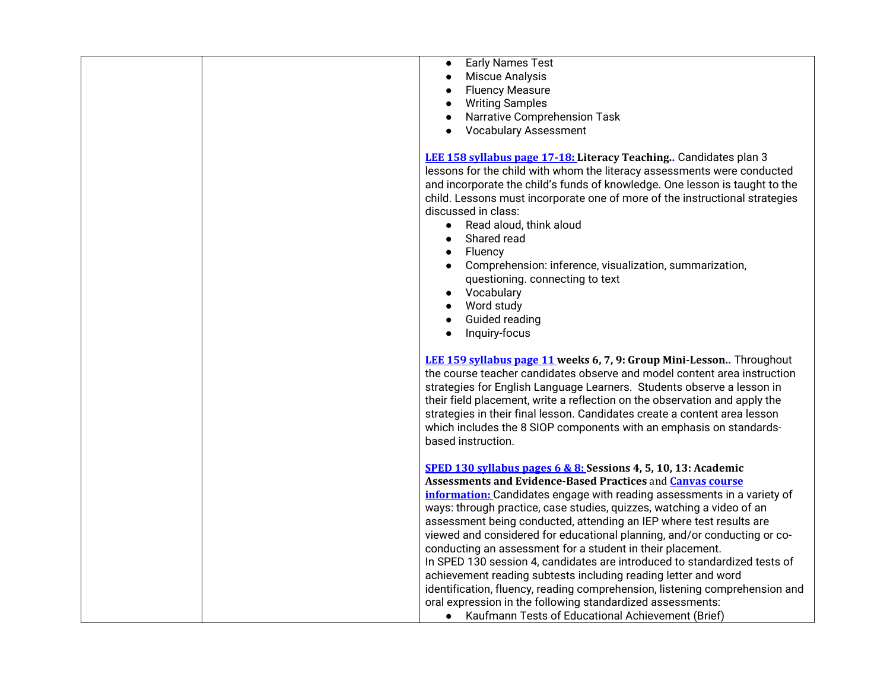| <b>Early Names Test</b><br>$\bullet$<br>Miscue Analysis<br>$\bullet$<br><b>Fluency Measure</b><br>$\bullet$<br><b>Writing Samples</b><br>$\bullet$<br>Narrative Comprehension Task<br>$\bullet$<br><b>Vocabulary Assessment</b><br>$\bullet$                                                                                                                                                                                                                                                                                                                                                                                                                                                                                                                                                                                                                         |
|----------------------------------------------------------------------------------------------------------------------------------------------------------------------------------------------------------------------------------------------------------------------------------------------------------------------------------------------------------------------------------------------------------------------------------------------------------------------------------------------------------------------------------------------------------------------------------------------------------------------------------------------------------------------------------------------------------------------------------------------------------------------------------------------------------------------------------------------------------------------|
| LEE 158 syllabus page 17-18: Literacy Teaching Candidates plan 3<br>lessons for the child with whom the literacy assessments were conducted<br>and incorporate the child's funds of knowledge. One lesson is taught to the<br>child. Lessons must incorporate one of more of the instructional strategies<br>discussed in class:<br>Read aloud, think aloud<br>$\bullet$<br>Shared read<br>$\bullet$<br>Fluency<br>$\bullet$<br>Comprehension: inference, visualization, summarization,<br>$\bullet$<br>questioning. connecting to text<br>Vocabulary<br>$\bullet$<br>Word study<br>$\bullet$<br>Guided reading<br>$\bullet$<br>Inquiry-focus<br>$\bullet$                                                                                                                                                                                                           |
| <b>LEE 159 syllabus page 11 weeks 6, 7, 9: Group Mini-Lesson</b> Throughout<br>the course teacher candidates observe and model content area instruction<br>strategies for English Language Learners. Students observe a lesson in<br>their field placement, write a reflection on the observation and apply the<br>strategies in their final lesson. Candidates create a content area lesson<br>which includes the 8 SIOP components with an emphasis on standards-<br>based instruction.                                                                                                                                                                                                                                                                                                                                                                            |
| <b>SPED 130 syllabus pages 6 &amp; 8: Sessions 4, 5, 10, 13: Academic</b><br>Assessments and Evidence-Based Practices and <b>Canvas course</b><br>information: Candidates engage with reading assessments in a variety of<br>ways: through practice, case studies, quizzes, watching a video of an<br>assessment being conducted, attending an IEP where test results are<br>viewed and considered for educational planning, and/or conducting or co-<br>conducting an assessment for a student in their placement.<br>In SPED 130 session 4, candidates are introduced to standardized tests of<br>achievement reading subtests including reading letter and word<br>identification, fluency, reading comprehension, listening comprehension and<br>oral expression in the following standardized assessments:<br>Kaufmann Tests of Educational Achievement (Brief) |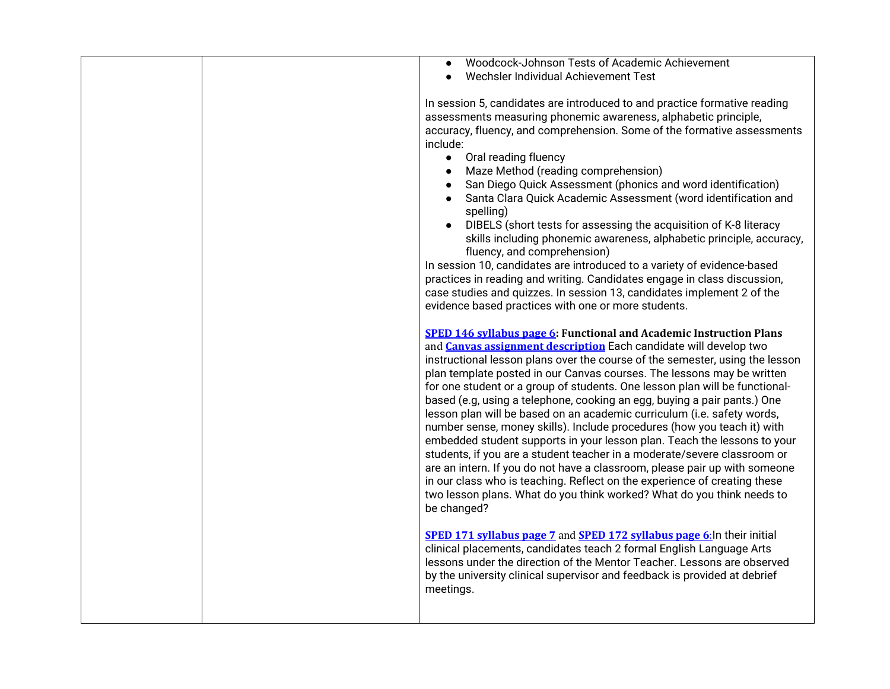| Woodcock-Johnson Tests of Academic Achievement                                        |
|---------------------------------------------------------------------------------------|
| Wechsler Individual Achievement Test                                                  |
|                                                                                       |
| In session 5, candidates are introduced to and practice formative reading             |
|                                                                                       |
| assessments measuring phonemic awareness, alphabetic principle,                       |
| accuracy, fluency, and comprehension. Some of the formative assessments               |
| include:                                                                              |
| • Oral reading fluency                                                                |
| Maze Method (reading comprehension)<br>$\bullet$                                      |
| San Diego Quick Assessment (phonics and word identification)                          |
|                                                                                       |
| Santa Clara Quick Academic Assessment (word identification and                        |
| spelling)                                                                             |
| DIBELS (short tests for assessing the acquisition of K-8 literacy                     |
| skills including phonemic awareness, alphabetic principle, accuracy,                  |
| fluency, and comprehension)                                                           |
| In session 10, candidates are introduced to a variety of evidence-based               |
| practices in reading and writing. Candidates engage in class discussion,              |
|                                                                                       |
| case studies and quizzes. In session 13, candidates implement 2 of the                |
| evidence based practices with one or more students.                                   |
|                                                                                       |
| <b>SPED 146 syllabus page 6:</b> Functional and Academic Instruction Plans            |
| and <b>Canvas assignment description</b> Each candidate will develop two              |
| instructional lesson plans over the course of the semester, using the lesson          |
| plan template posted in our Canvas courses. The lessons may be written                |
|                                                                                       |
| for one student or a group of students. One lesson plan will be functional-           |
| based (e.g, using a telephone, cooking an egg, buying a pair pants.) One              |
| lesson plan will be based on an academic curriculum (i.e. safety words,               |
| number sense, money skills). Include procedures (how you teach it) with               |
| embedded student supports in your lesson plan. Teach the lessons to your              |
| students, if you are a student teacher in a moderate/severe classroom or              |
|                                                                                       |
| are an intern. If you do not have a classroom, please pair up with someone            |
| in our class who is teaching. Reflect on the experience of creating these             |
| two lesson plans. What do you think worked? What do you think needs to                |
| be changed?                                                                           |
|                                                                                       |
| <b>SPED 171 syllabus page 7</b> and <b>SPED 172 syllabus page 6:</b> In their initial |
|                                                                                       |
| clinical placements, candidates teach 2 formal English Language Arts                  |
| lessons under the direction of the Mentor Teacher. Lessons are observed               |
| by the university clinical supervisor and feedback is provided at debrief             |
| meetings.                                                                             |
|                                                                                       |
|                                                                                       |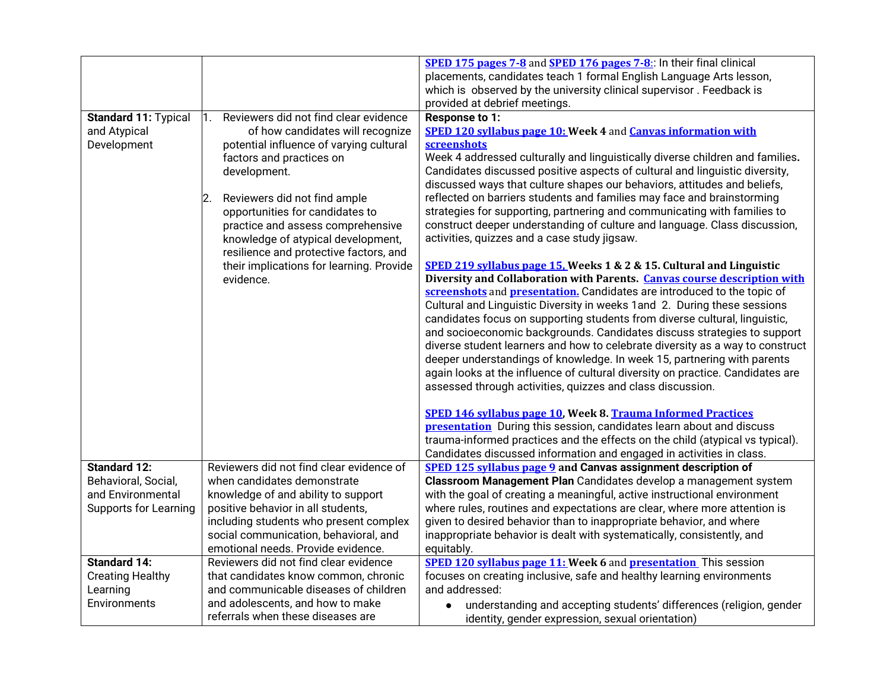|                              |                                          | <b>SPED 175 pages 7-8 and SPED 176 pages 7-8:</b> In their final clinical      |
|------------------------------|------------------------------------------|--------------------------------------------------------------------------------|
|                              |                                          | placements, candidates teach 1 formal English Language Arts lesson,            |
|                              |                                          | which is observed by the university clinical supervisor. Feedback is           |
|                              |                                          |                                                                                |
|                              | Reviewers did not find clear evidence    | provided at debrief meetings.                                                  |
| <b>Standard 11: Typical</b>  | $\mathbf 1$ .                            | Response to 1:                                                                 |
| and Atypical                 | of how candidates will recognize         | <b>SPED 120 syllabus page 10: Week 4 and Canvas information with</b>           |
| Development                  | potential influence of varying cultural  | screenshots                                                                    |
|                              | factors and practices on                 | Week 4 addressed culturally and linguistically diverse children and families.  |
|                              | development.                             | Candidates discussed positive aspects of cultural and linguistic diversity,    |
|                              |                                          | discussed ways that culture shapes our behaviors, attitudes and beliefs,       |
|                              | Reviewers did not find ample<br>2.       | reflected on barriers students and families may face and brainstorming         |
|                              | opportunities for candidates to          | strategies for supporting, partnering and communicating with families to       |
|                              | practice and assess comprehensive        | construct deeper understanding of culture and language. Class discussion,      |
|                              | knowledge of atypical development,       | activities, quizzes and a case study jigsaw.                                   |
|                              | resilience and protective factors, and   |                                                                                |
|                              | their implications for learning. Provide | SPED 219 syllabus page 15, Weeks 1 & 2 & 15. Cultural and Linguistic           |
|                              | evidence.                                | Diversity and Collaboration with Parents. Canvas course description with       |
|                              |                                          | screenshots and presentation. Candidates are introduced to the topic of        |
|                              |                                          | Cultural and Linguistic Diversity in weeks 1 and 2. During these sessions      |
|                              |                                          | candidates focus on supporting students from diverse cultural, linguistic,     |
|                              |                                          | and socioeconomic backgrounds. Candidates discuss strategies to support        |
|                              |                                          | diverse student learners and how to celebrate diversity as a way to construct  |
|                              |                                          | deeper understandings of knowledge. In week 15, partnering with parents        |
|                              |                                          | again looks at the influence of cultural diversity on practice. Candidates are |
|                              |                                          | assessed through activities, quizzes and class discussion.                     |
|                              |                                          |                                                                                |
|                              |                                          | SPED 146 syllabus page 10, Week 8. Trauma Informed Practices                   |
|                              |                                          | <b>presentation</b> During this session, candidates learn about and discuss    |
|                              |                                          | trauma-informed practices and the effects on the child (atypical vs typical).  |
|                              |                                          | Candidates discussed information and engaged in activities in class.           |
| <b>Standard 12:</b>          | Reviewers did not find clear evidence of | <b>SPED 125 syllabus page 9 and Canvas assignment description of</b>           |
| Behavioral, Social,          | when candidates demonstrate              | Classroom Management Plan Candidates develop a management system               |
| and Environmental            | knowledge of and ability to support      | with the goal of creating a meaningful, active instructional environment       |
| <b>Supports for Learning</b> | positive behavior in all students,       | where rules, routines and expectations are clear, where more attention is      |
|                              | including students who present complex   | given to desired behavior than to inappropriate behavior, and where            |
|                              |                                          |                                                                                |
|                              | social communication, behavioral, and    | inappropriate behavior is dealt with systematically, consistently, and         |
|                              | emotional needs. Provide evidence.       | equitably.                                                                     |
| <b>Standard 14:</b>          | Reviewers did not find clear evidence    | <b>SPED 120 syllabus page 11: Week 6 and presentation</b> This session         |
| <b>Creating Healthy</b>      | that candidates know common, chronic     | focuses on creating inclusive, safe and healthy learning environments          |
| Learning                     | and communicable diseases of children    | and addressed:                                                                 |
| Environments                 | and adolescents, and how to make         | understanding and accepting students' differences (religion, gender            |
|                              | referrals when these diseases are        | identity, gender expression, sexual orientation)                               |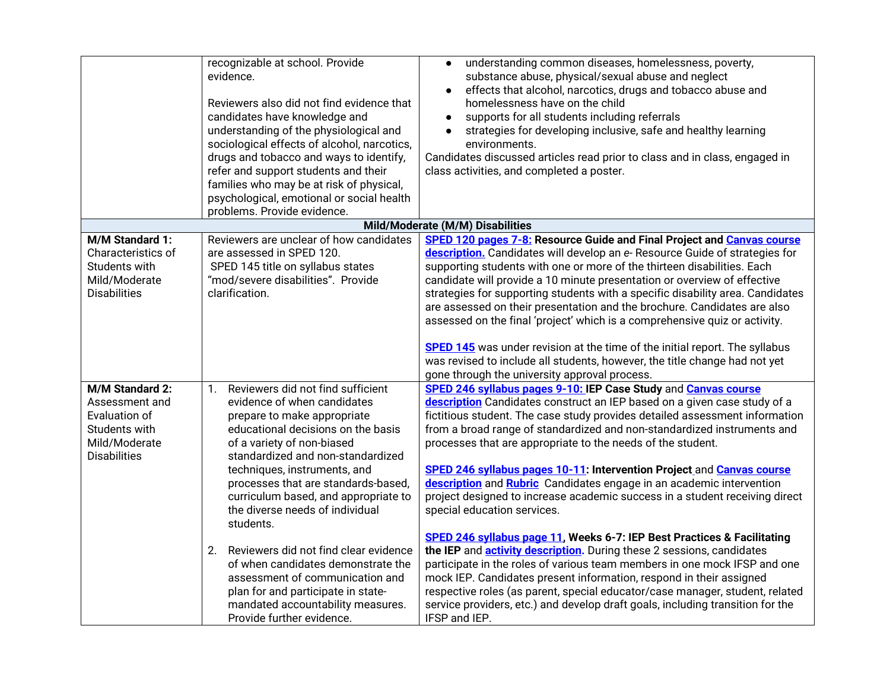|                                                                                                             | recognizable at school. Provide<br>evidence.<br>Reviewers also did not find evidence that<br>candidates have knowledge and<br>understanding of the physiological and<br>sociological effects of alcohol, narcotics,<br>drugs and tobacco and ways to identify,<br>refer and support students and their<br>families who may be at risk of physical,<br>psychological, emotional or social health<br>problems. Provide evidence. | understanding common diseases, homelessness, poverty,<br>$\bullet$<br>substance abuse, physical/sexual abuse and neglect<br>effects that alcohol, narcotics, drugs and tobacco abuse and<br>homelessness have on the child<br>supports for all students including referrals<br>$\bullet$<br>strategies for developing inclusive, safe and healthy learning<br>environments.<br>Candidates discussed articles read prior to class and in class, engaged in<br>class activities, and completed a poster.                                                                                                                                                                                                                                                                       |
|-------------------------------------------------------------------------------------------------------------|--------------------------------------------------------------------------------------------------------------------------------------------------------------------------------------------------------------------------------------------------------------------------------------------------------------------------------------------------------------------------------------------------------------------------------|------------------------------------------------------------------------------------------------------------------------------------------------------------------------------------------------------------------------------------------------------------------------------------------------------------------------------------------------------------------------------------------------------------------------------------------------------------------------------------------------------------------------------------------------------------------------------------------------------------------------------------------------------------------------------------------------------------------------------------------------------------------------------|
|                                                                                                             |                                                                                                                                                                                                                                                                                                                                                                                                                                | Mild/Moderate (M/M) Disabilities                                                                                                                                                                                                                                                                                                                                                                                                                                                                                                                                                                                                                                                                                                                                             |
| M/M Standard 1:<br>Characteristics of<br>Students with<br>Mild/Moderate<br><b>Disabilities</b>              | Reviewers are unclear of how candidates<br>are assessed in SPED 120.<br>SPED 145 title on syllabus states<br>"mod/severe disabilities". Provide<br>clarification.                                                                                                                                                                                                                                                              | SPED 120 pages 7-8: Resource Guide and Final Project and Canvas course<br>description. Candidates will develop an e-Resource Guide of strategies for<br>supporting students with one or more of the thirteen disabilities. Each<br>candidate will provide a 10 minute presentation or overview of effective<br>strategies for supporting students with a specific disability area. Candidates<br>are assessed on their presentation and the brochure. Candidates are also<br>assessed on the final 'project' which is a comprehensive quiz or activity.<br><b>SPED 145</b> was under revision at the time of the initial report. The syllabus<br>was revised to include all students, however, the title change had not yet<br>gone through the university approval process. |
| M/M Standard 2:<br>Assessment and<br>Evaluation of<br>Students with<br>Mild/Moderate<br><b>Disabilities</b> | Reviewers did not find sufficient<br>$\mathbf{1}$ .<br>evidence of when candidates<br>prepare to make appropriate<br>educational decisions on the basis<br>of a variety of non-biased<br>standardized and non-standardized<br>techniques, instruments, and<br>processes that are standards-based,<br>curriculum based, and appropriate to<br>the diverse needs of individual<br>students.                                      | SPED 246 syllabus pages 9-10: IEP Case Study and Canvas course<br>description Candidates construct an IEP based on a given case study of a<br>fictitious student. The case study provides detailed assessment information<br>from a broad range of standardized and non-standardized instruments and<br>processes that are appropriate to the needs of the student.<br>SPED 246 syllabus pages 10-11: Intervention Project and Canvas course<br>description and Rubric Candidates engage in an academic intervention<br>project designed to increase academic success in a student receiving direct<br>special education services.<br>SPED 246 syllabus page 11, Weeks 6-7: IEP Best Practices & Facilitating                                                                |
|                                                                                                             | Reviewers did not find clear evidence<br>2.<br>of when candidates demonstrate the<br>assessment of communication and<br>plan for and participate in state-<br>mandated accountability measures.<br>Provide further evidence.                                                                                                                                                                                                   | the IEP and <b>activity description</b> . During these 2 sessions, candidates<br>participate in the roles of various team members in one mock IFSP and one<br>mock IEP. Candidates present information, respond in their assigned<br>respective roles (as parent, special educator/case manager, student, related<br>service providers, etc.) and develop draft goals, including transition for the<br>IFSP and IEP.                                                                                                                                                                                                                                                                                                                                                         |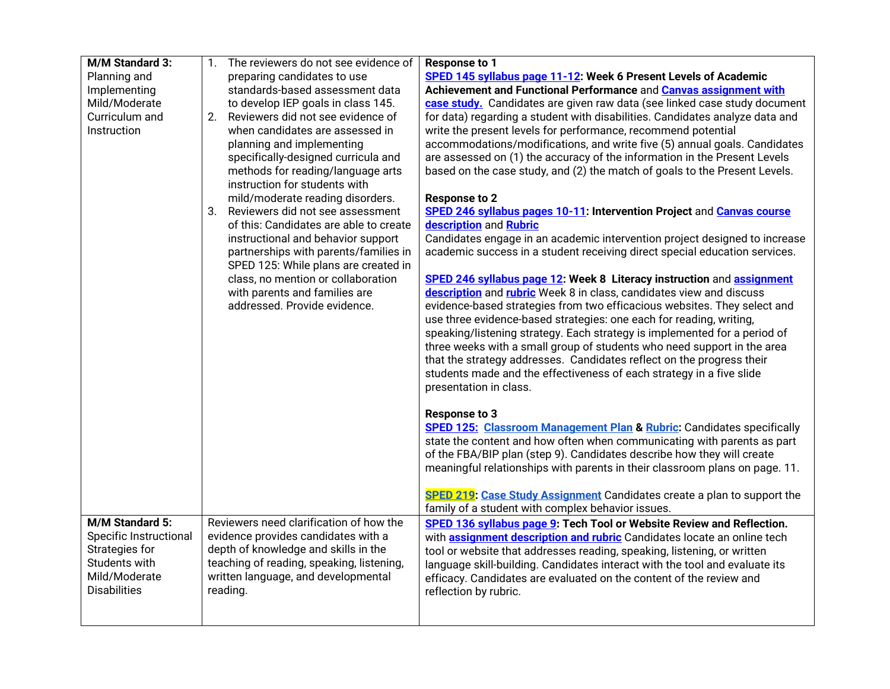| M/M Standard 3:                 | 1. | The reviewers do not see evidence of                                          | Response to 1                                                                    |
|---------------------------------|----|-------------------------------------------------------------------------------|----------------------------------------------------------------------------------|
| Planning and                    |    | preparing candidates to use                                                   | SPED 145 syllabus page 11-12: Week 6 Present Levels of Academic                  |
| Implementing                    |    | standards-based assessment data                                               | Achievement and Functional Performance and Canvas assignment with                |
| Mild/Moderate                   |    | to develop IEP goals in class 145.                                            | case study. Candidates are given raw data (see linked case study document        |
| Curriculum and                  | 2. | Reviewers did not see evidence of                                             | for data) regarding a student with disabilities. Candidates analyze data and     |
| Instruction                     |    | when candidates are assessed in                                               | write the present levels for performance, recommend potential                    |
|                                 |    | planning and implementing                                                     | accommodations/modifications, and write five (5) annual goals. Candidates        |
|                                 |    | specifically-designed curricula and                                           | are assessed on (1) the accuracy of the information in the Present Levels        |
|                                 |    | methods for reading/language arts                                             | based on the case study, and (2) the match of goals to the Present Levels.       |
|                                 |    | instruction for students with                                                 |                                                                                  |
|                                 |    | mild/moderate reading disorders.                                              | <b>Response to 2</b>                                                             |
|                                 | 3. | Reviewers did not see assessment                                              | SPED 246 syllabus pages 10-11: Intervention Project and Canvas course            |
|                                 |    | of this: Candidates are able to create                                        | description and Rubric                                                           |
|                                 |    | instructional and behavior support                                            | Candidates engage in an academic intervention project designed to increase       |
|                                 |    | partnerships with parents/families in<br>SPED 125: While plans are created in | academic success in a student receiving direct special education services.       |
|                                 |    | class, no mention or collaboration                                            | SPED 246 syllabus page 12: Week 8 Literacy instruction and assignment            |
|                                 |    | with parents and families are                                                 | description and rubric Week 8 in class, candidates view and discuss              |
|                                 |    | addressed. Provide evidence.                                                  | evidence-based strategies from two efficacious websites. They select and         |
|                                 |    |                                                                               | use three evidence-based strategies: one each for reading, writing,              |
|                                 |    |                                                                               | speaking/listening strategy. Each strategy is implemented for a period of        |
|                                 |    |                                                                               | three weeks with a small group of students who need support in the area          |
|                                 |    |                                                                               | that the strategy addresses. Candidates reflect on the progress their            |
|                                 |    |                                                                               | students made and the effectiveness of each strategy in a five slide             |
|                                 |    |                                                                               | presentation in class.                                                           |
|                                 |    |                                                                               |                                                                                  |
|                                 |    |                                                                               | <b>Response to 3</b>                                                             |
|                                 |    |                                                                               | <b>SPED 125: Classroom Management Plan &amp; Rubric:</b> Candidates specifically |
|                                 |    |                                                                               | state the content and how often when communicating with parents as part          |
|                                 |    |                                                                               | of the FBA/BIP plan (step 9). Candidates describe how they will create           |
|                                 |    |                                                                               | meaningful relationships with parents in their classroom plans on page. 11.      |
|                                 |    |                                                                               |                                                                                  |
|                                 |    |                                                                               | <b>SPED 219: Case Study Assignment</b> Candidates create a plan to support the   |
| M/M Standard 5:                 |    | Reviewers need clarification of how the                                       | family of a student with complex behavior issues.                                |
|                                 |    |                                                                               | SPED 136 syllabus page 9: Tech Tool or Website Review and Reflection.            |
| <b>Specific Instructional</b>   |    | evidence provides candidates with a                                           | with <b>assignment description and rubric</b> Candidates locate an online tech   |
| Strategies for<br>Students with |    | depth of knowledge and skills in the                                          | tool or website that addresses reading, speaking, listening, or written          |
| Mild/Moderate                   |    | teaching of reading, speaking, listening,                                     | language skill-building. Candidates interact with the tool and evaluate its      |
| <b>Disabilities</b>             |    | written language, and developmental<br>reading.                               | efficacy. Candidates are evaluated on the content of the review and              |
|                                 |    |                                                                               | reflection by rubric.                                                            |
|                                 |    |                                                                               |                                                                                  |